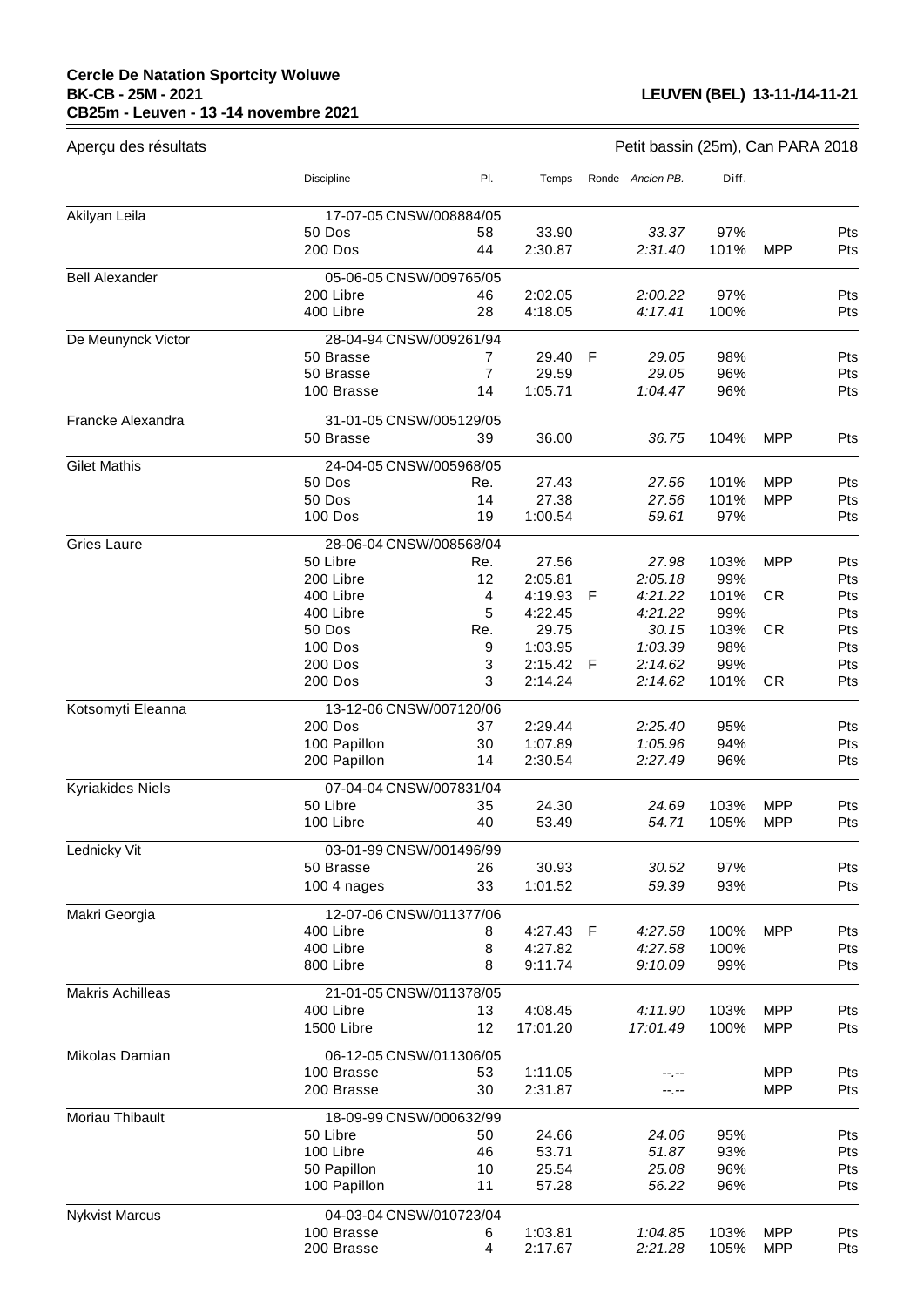## **Cercle De Natation Sportcity Woluwe BK-CB - 25M - 2021 CB25m - Leuven - 13 -14 novembre 2021**

 $\equiv$ 

| Aperçu des résultats    | Petit bassin (25m), Can PARA 2018 |                |           |   |                  |       |            |            |
|-------------------------|-----------------------------------|----------------|-----------|---|------------------|-------|------------|------------|
|                         | <b>Discipline</b>                 | PI.            | Temps     |   | Ronde Ancien PB. | Diff. |            |            |
| Akilyan Leila           | 17-07-05 CNSW/008884/05           |                |           |   |                  |       |            |            |
|                         | 50 Dos                            | 58             | 33.90     |   | 33.37            | 97%   |            | Pts        |
|                         | 200 Dos                           | 44             | 2:30.87   |   | 2:31.40          | 101%  | MPP        | Pts        |
| <b>Bell Alexander</b>   | 05-06-05 CNSW/009765/05           |                |           |   |                  |       |            |            |
|                         | 200 Libre                         | 46             | 2:02.05   |   | 2:00.22          | 97%   |            | Pts        |
|                         | 400 Libre                         | 28             | 4:18.05   |   | 4:17.41          | 100%  |            | Pts        |
| De Meunynck Victor      | 28-04-94 CNSW/009261/94           |                |           |   |                  |       |            |            |
|                         | 50 Brasse                         | 7              | 29.40     | F | 29.05            | 98%   |            | Pts        |
|                         | 50 Brasse                         | $\overline{7}$ | 29.59     |   | 29.05            | 96%   |            | Pts        |
|                         | 100 Brasse                        | 14             | 1:05.71   |   | 1:04.47          | 96%   |            | Pts        |
| Francke Alexandra       | 31-01-05 CNSW/005129/05           |                |           |   |                  |       |            |            |
|                         | 50 Brasse                         | 39             | 36.00     |   | 36.75            | 104%  | <b>MPP</b> | Pts        |
| <b>Gilet Mathis</b>     | 24-04-05 CNSW/005968/05           |                |           |   |                  |       |            |            |
|                         | 50 Dos                            | Re.            | 27.43     |   | 27.56            | 101%  | MPP        | Pts        |
|                         | 50 Dos                            | 14             | 27.38     |   | 27.56            | 101%  | <b>MPP</b> | Pts        |
|                         | <b>100 Dos</b>                    | 19             | 1:00.54   |   | 59.61            | 97%   |            | Pts        |
| <b>Gries Laure</b>      | 28-06-04 CNSW/008568/04           |                |           |   |                  |       |            |            |
|                         | 50 Libre                          | Re.            | 27.56     |   | 27.98            | 103%  | <b>MPP</b> | Pts        |
|                         | 200 Libre                         | 12             | 2:05.81   |   | 2:05.18          | 99%   |            | Pts        |
|                         | 400 Libre                         | 4              | 4:19.93   | F | 4:21.22          | 101%  | <b>CR</b>  | Pts        |
|                         | 400 Libre                         | 5              | 4:22.45   |   | 4:21.22          | 99%   |            | Pts        |
|                         | 50 Dos                            | Re.            | 29.75     |   | 30.15            | 103%  | <b>CR</b>  | Pts        |
|                         | 100 Dos                           | 9              | 1:03.95   |   | 1:03.39          | 98%   |            | Pts        |
|                         | 200 Dos                           | 3              | 2:15.42   | F | 2:14.62          | 99%   |            | Pts        |
|                         | <b>200 Dos</b>                    | 3              | 2:14.24   |   | 2:14.62          | 101%  | <b>CR</b>  | Pts        |
| Kotsomyti Eleanna       | 13-12-06 CNSW/007120/06           |                |           |   |                  |       |            |            |
|                         | 200 Dos                           | 37             | 2:29.44   |   | 2:25.40          | 95%   |            | Pts        |
|                         | 100 Papillon                      | 30             | 1:07.89   |   | 1:05.96          | 94%   |            | Pts        |
|                         | 200 Papillon                      | 14             | 2:30.54   |   | 2:27.49          | 96%   |            | Pts        |
| <b>Kyriakides Niels</b> | 07-04-04 CNSW/007831/04           |                |           |   |                  |       |            |            |
|                         | 50 Libre                          | 35             | 24.30     |   | 24.69            | 103%  | <b>MPP</b> | Pts        |
|                         | 100 Libre                         | 40             | 53.49     |   | 54.71            | 105%  | <b>MPP</b> | Pts        |
| Lednicky Vit            | 03-01-99 CNSW/001496/99           |                |           |   |                  |       |            |            |
|                         | 50 Brasse                         | 26             | 30.93     |   | 30.52            | 97%   |            | Pts        |
|                         | 100 4 nages                       | 33             | 1:01.52   |   | 59.39            | 93%   |            | Pts        |
| Makri Georgia           | 12-07-06 CNSW/011377/06           |                |           |   |                  |       |            |            |
|                         | 400 Libre                         | 8              | 4:27.43 F |   | 4:27.58          | 100%  | MPP        | Pts        |
|                         | 400 Libre                         | 8              | 4:27.82   |   | 4:27.58          | 100%  |            | Pts        |
|                         | 800 Libre                         | 8              | 9:11.74   |   | 9:10.09          | 99%   |            | Pts        |
| <b>Makris Achilleas</b> | 21-01-05 CNSW/011378/05           |                |           |   |                  |       |            |            |
|                         | 400 Libre                         | 13             | 4:08.45   |   | 4:11.90          | 103%  | <b>MPP</b> | <b>Pts</b> |
|                         | 1500 Libre                        | 12             | 17:01.20  |   | 17:01.49         | 100%  | <b>MPP</b> | Pts        |
| Mikolas Damian          | 06-12-05 CNSW/011306/05           |                |           |   |                  |       |            |            |
|                         | 100 Brasse                        | 53             | 1:11.05   |   |                  |       | <b>MPP</b> | Pts        |
|                         | 200 Brasse                        | 30             | 2:31.87   |   | --.--            |       | <b>MPP</b> | Pts        |
| Moriau Thibault         | 18-09-99 CNSW/000632/99           |                |           |   |                  |       |            |            |
|                         | 50 Libre                          | 50             | 24.66     |   | 24.06            | 95%   |            | Pts        |
|                         | 100 Libre                         | 46             | 53.71     |   | 51.87            | 93%   |            | Pts        |
|                         | 50 Papillon                       | 10             | 25.54     |   | 25.08            | 96%   |            | <b>Pts</b> |
|                         | 100 Papillon                      | 11             | 57.28     |   | 56.22            | 96%   |            | Pts        |
| <b>Nykvist Marcus</b>   | 04-03-04 CNSW/010723/04           |                |           |   |                  |       |            |            |
|                         | 100 Brasse                        | 6              | 1:03.81   |   | 1:04.85          | 103%  | <b>MPP</b> | Pts        |
|                         | 200 Brasse                        | 4              | 2:17.67   |   | 2:21.28          | 105%  | <b>MPP</b> | Pts        |